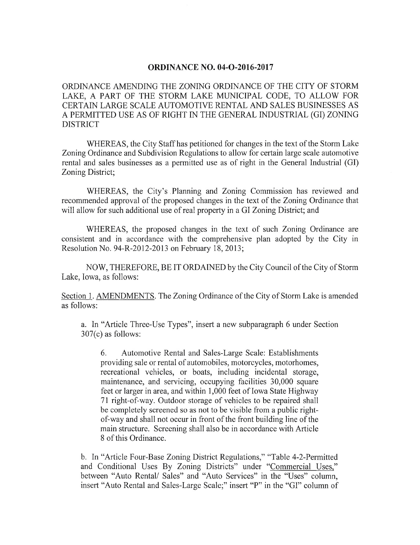## **ORDINANCE NO. 04-O-2016-2017**

ORDINANCE AMENDING THE ZONING ORDINANCE OF THE CITY OF STORM LAKE, A PART OF THE STORM LAKE MUNICIPAL CODE, TO ALLOW FOR CERTAIN LARGE SCALE AUTOMOTIVE RENTAL AND SALES BUSINESSES AS A PERMITTED USE AS OF RIGHT IN THE GENERAL INDUSTRIAL ( GI) ZONING DISTRICT

WHEREAS, the City Staff has petitioned for changes in the text of the Storm Lake Zoning Ordinance and Subdivision Regulations to allow for certain large scale automotive rental and sales businesses as a permitted use as of right in the General Industrial (GI) Zoning District;

WHEREAS, the City's Planning and Zoning Commission has reviewed and recommended approval of the proposed changes in the text of the Zoning Ordinance that will allow for such additional use of real property in a GI Zoning District; and

WHEREAS, the proposed changes in the text of such Zoning Ordinance are consistent and in accordance with the comprehensive plan adopted by the City in Resolution No. 94-R-2012-2013 on February 18, 2013;

NOW, THEREFORE, BE IT ORDAINED by the City Council ofthe City of Storm Lake, Iowa, as follows:

Section 1. AMENDMENTS. The Zoning Ordinance of the City of Storm Lake is amended as follows:

a. In "Article Three-Use Types", insert a new subparagraph 6 under Section  $307(c)$  as follows:

6. Automotive Rental and Sales- Large Scale: Establishments providing sale or rental of automobiles, motorcycles, motorhomes, recreational vehicles, or boats, including incidental storage, maintenance, and servicing, occupying facilities 30,000 square feet or larger in area, and within 1, 000 feet of Iowa State Highway 71 right-of-way. Outdoor storage of vehicles to be repaired shall be completely screened so as not to be visible from a public rightof-way and shall not occur in front of the front building line of the main structure. Screening shall also be in accordance with Article <sup>8</sup> of this Ordinance.

b. In "Article Four-Base Zoning District Regulations," "Table 4-2-Permitted and Conditional Uses By Zoning Districts" under "Commercial Uses," between "Auto Rental/ Sales" and "Auto Services" in the "Uses" column, insert "Auto Rental and Sales-Large Scale;" insert "P" in the "GI" column of